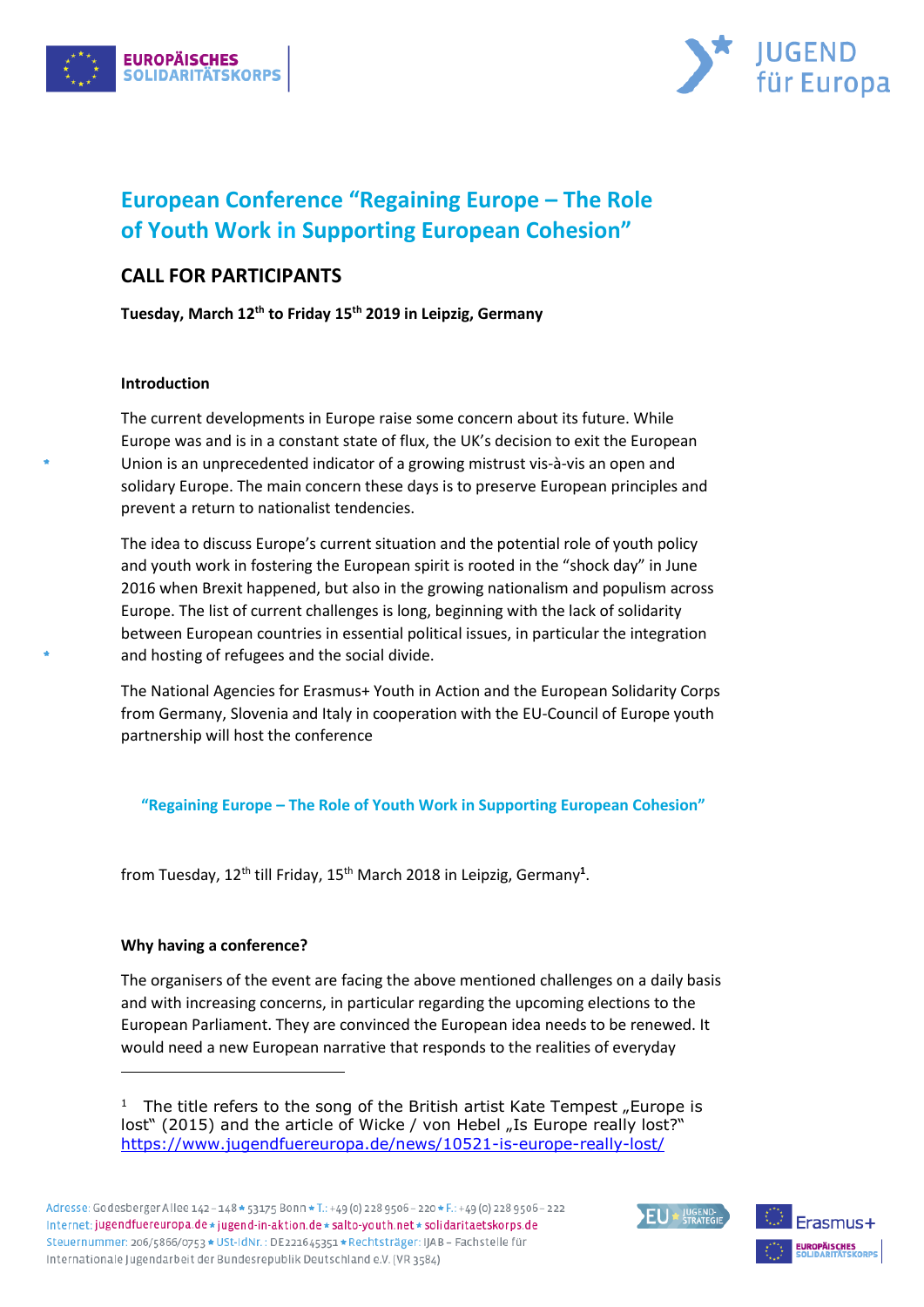



# **European Conference "Regaining Europe – The Role of Youth Work in Supporting European Cohesion"**

# **CALL FOR PARTICIPANTS**

**Tuesday, March 12th to Friday 15th 2019 in Leipzig, Germany**

# **Introduction**

The current developments in Europe raise some concern about its future. While Europe was and is in a constant state of flux, the UK's decision to exit the European Union is an unprecedented indicator of a growing mistrust vis-à-vis an open and solidary Europe. The main concern these days is to preserve European principles and prevent a return to nationalist tendencies.

The idea to discuss Europe's current situation and the potential role of youth policy and youth work in fostering the European spirit is rooted in the "shock day" in June 2016 when Brexit happened, but also in the growing nationalism and populism across Europe. The list of current challenges is long, beginning with the lack of solidarity between European countries in essential political issues, in particular the integration and hosting of refugees and the social divide.

The National Agencies for Erasmus+ Youth in Action and the European Solidarity Corps from Germany, Slovenia and Italy in cooperation with the EU-Council of Europe youth partnership will host the conference

**"Regaining Europe – The Role of Youth Work in Supporting European Cohesion"**

from Tuesday, 12<sup>th</sup> till Friday, 15<sup>th</sup> March 2018 in Leipzig, Germany<sup>1</sup>.

# **Why having a conference?**

-

The organisers of the event are facing the above mentioned challenges on a daily basis and with increasing concerns, in particular regarding the upcoming elections to the European Parliament. They are convinced the European idea needs to be renewed. It would need a new European narrative that responds to the realities of everyday

<sup>1</sup> The title refers to the song of the British artist Kate Tempest "Europe is lost" (2015) and the article of Wicke / von Hebel "Is Europe really lost?" <https://www.jugendfuereuropa.de/news/10521-is-europe-really-lost/>

 $EU*$   $U^{GEND}$ 

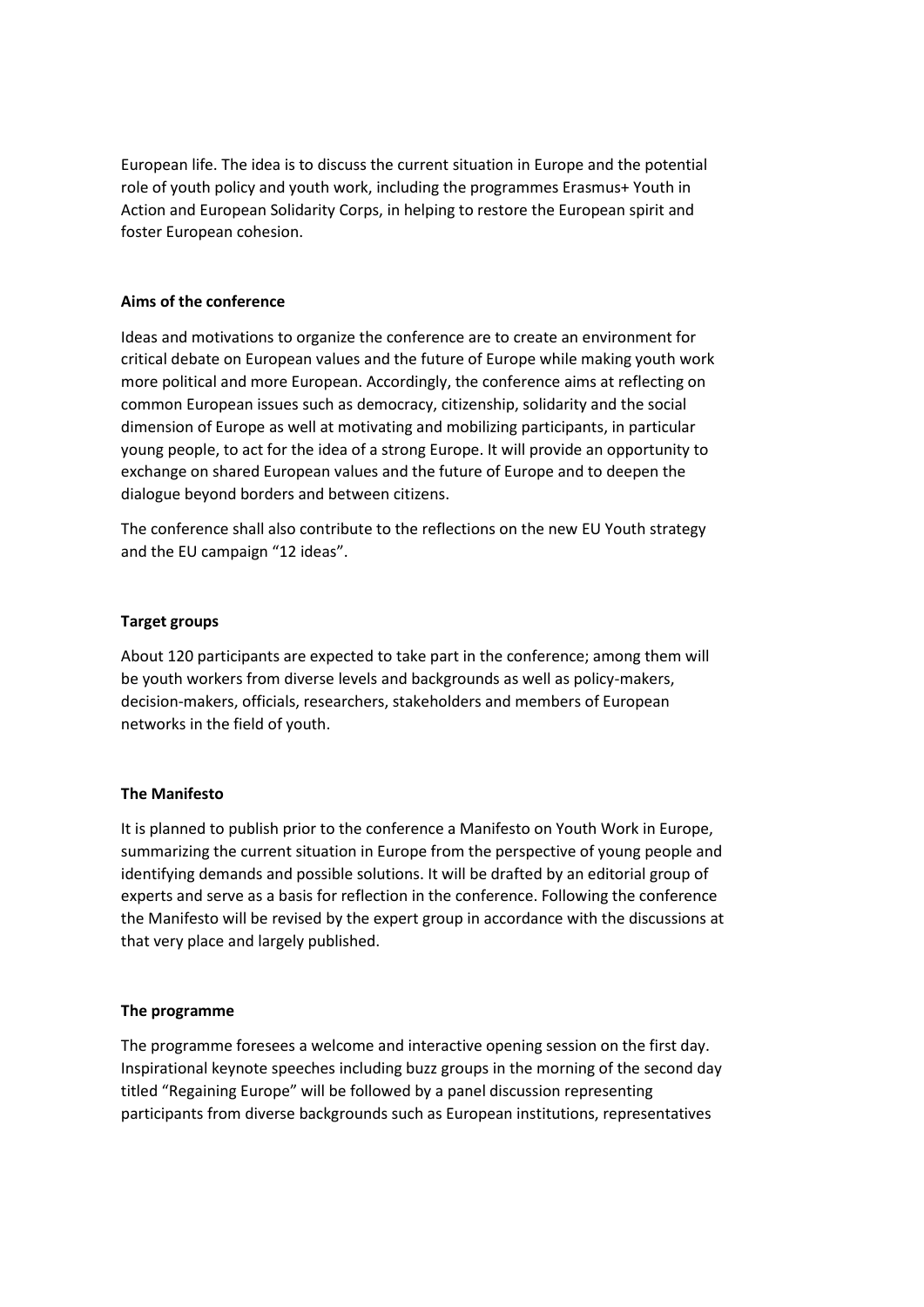European life. The idea is to discuss the current situation in Europe and the potential role of youth policy and youth work, including the programmes Erasmus+ Youth in Action and European Solidarity Corps, in helping to restore the European spirit and foster European cohesion.

#### **Aims of the conference**

Ideas and motivations to organize the conference are to create an environment for critical debate on European values and the future of Europe while making youth work more political and more European. Accordingly, the conference aims at reflecting on common European issues such as democracy, citizenship, solidarity and the social dimension of Europe as well at motivating and mobilizing participants, in particular young people, to act for the idea of a strong Europe. It will provide an opportunity to exchange on shared European values and the future of Europe and to deepen the dialogue beyond borders and between citizens.

The conference shall also contribute to the reflections on the new EU Youth strategy and the EU campaign "12 ideas".

#### **Target groups**

About 120 participants are expected to take part in the conference; among them will be youth workers from diverse levels and backgrounds as well as policy-makers, decision-makers, officials, researchers, stakeholders and members of European networks in the field of youth.

# **The Manifesto**

It is planned to publish prior to the conference a Manifesto on Youth Work in Europe, summarizing the current situation in Europe from the perspective of young people and identifying demands and possible solutions. It will be drafted by an editorial group of experts and serve as a basis for reflection in the conference. Following the conference the Manifesto will be revised by the expert group in accordance with the discussions at that very place and largely published.

#### **The programme**

The programme foresees a welcome and interactive opening session on the first day. Inspirational keynote speeches including buzz groups in the morning of the second day titled "Regaining Europe" will be followed by a panel discussion representing participants from diverse backgrounds such as European institutions, representatives